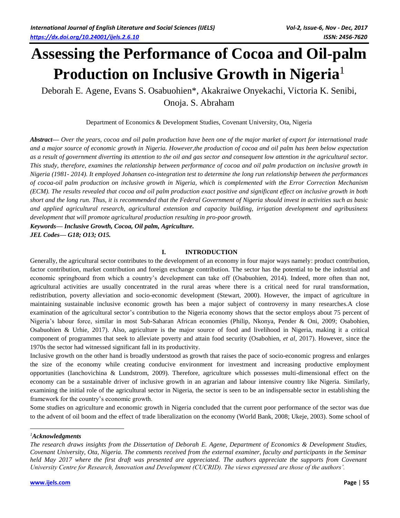# **Assessing the Performance of Cocoa and Oil-palm Production on Inclusive Growth in Nigeria**<sup>1</sup>

Deborah E. Agene, Evans S. Osabuohien\*, Akakraiwe Onyekachi, Victoria K. Senibi, Onoja. S. Abraham

Department of Economics & Development Studies, Covenant University, Ota, Nigeria

*Abstract— Over the years, cocoa and oil palm production have been one of the major market of export for international trade and a major source of economic growth in Nigeria. However,the production of cocoa and oil palm has been below expectation as a result of government diverting its attention to the oil and gas sector and consequent low attention in the agricultural sector. This study, therefore, examines the relationship between performance of cocoa and oil palm production on inclusive growth in Nigeria (1981- 2014). It employed Johansen co-integration test to determine the long run relationship between the performances of cocoa-oil palm production on inclusive growth in Nigeria, which is complemented with the Error Correction Mechanism (ECM). The results revealed that cocoa and oil palm production exact positive and significant effect on inclusive growth in both short and the long run. Thus, it is recommended that the Federal Government of Nigeria should invest in activities such as basic and applied agricultural research, agricultural extension and capacity building, irrigation development and agribusiness development that will promote agricultural production resulting in pro-poor growth.* 

*Keywords— Inclusive Growth, Cocoa, Oil palm, Agriculture. JEL Codes— G18; O13; O15.*

#### **I. INTRODUCTION**

Generally, the agricultural sector contributes to the development of an economy in four major ways namely: product contribution, factor contribution, market contribution and foreign exchange contribution. The sector has the potential to be the industrial and economic springboard from which a country's development can take off (Osabuohien, 2014). Indeed, more often than not, agricultural activities are usually concentrated in the rural areas where there is a critical need for rural transformation, redistribution, poverty alleviation and socio-economic development (Stewart, 2000). However, the impact of agriculture in maintaining sustainable inclusive economic growth has been a major subject of controversy in many researches.A close examination of the agricultural sector's contribution to the Nigeria economy shows that the sector employs about 75 percent of Nigeria's labour force, similar in most Sub-Saharan African economies (Philip, Nkonya, Pender & Oni, 2009; Osabohien, Osabuohien & Urhie, 2017). Also, agriculture is the major source of food and livelihood in Nigeria, making it a critical component of programmes that seek to alleviate poverty and attain food security (Osabohien, *et al*, 2017). However, since the 1970s the sector had witnessed significant fall in its productivity.

Inclusive growth on the other hand is broadly understood as growth that raises the pace of socio-economic progress and enlarges the size of the economy while creating conducive environment for investment and increasing productive employment opportunities (Ianchovichina & Lundstrom, 2009). Therefore, agriculture which possesses multi-dimensional effect on the economy can be a sustainable driver of inclusive growth in an agrarian and labour intensive country like Nigeria. Similarly, examining the initial role of the agricultural sector in Nigeria, the sector is seen to be an indispensable sector in establishing the framework for the country's economic growth.

Some studies on agriculture and economic growth in Nigeria concluded that the current poor performance of the sector was due to the advent of oil boom and the effect of trade liberalization on the economy (World Bank, 2008; Ukeje, 2003). Some school of

 $\overline{a}$ 

*<sup>1</sup>Acknowledgments*

*The research draws insights from the Dissertation of Deborah E. Agene, Department of Economics & Development Studies, Covenant University, Ota, Nigeria. The comments received from the external examiner, faculty and participants in the Seminar held May 2017 where the first draft was presented are appreciated. The authors appreciate the supports from Covenant University Centre for Research, Innovation and Development (CUCRID). The views expressed are those of the authors'.*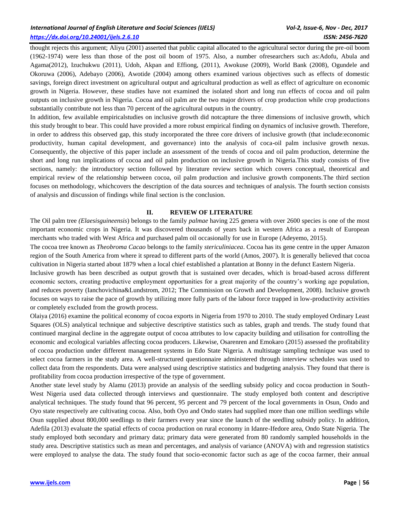thought rejects this argument; Aliyu (2001) asserted that public capital allocated to the agricultural sector during the pre-oil boom (1962-1974) were less than those of the post oil boom of 1975. Also, a number ofresearchers such as:Adofu, Abula and Agama(2012), Izuchukwu (2011), Udoh, Akpan and Effiong, (2011), Awokuse (2009), World Bank (2008), Ogundele and Okoruwa (2006), Adebayo (2006), Awotide (2004) among others examined various objectives such as effects of domestic savings, foreign direct investment on agricultural output and agricultural production as well as effect of agriculture on economic growth in Nigeria. However, these studies have not examined the isolated short and long run effects of cocoa and oil palm outputs on inclusive growth in Nigeria. Cocoa and oil palm are the two major drivers of crop production while crop productions substantially contribute not less than 70 percent of the agricultural outputs in the country.

In addition, few available empiricalstudies on inclusive growth did notcapture the three dimensions of inclusive growth, which this study brought to bear. This could have provided a more robust empirical finding on dynamics of inclusive growth. Therefore, in order to address this observed gap, this study incorporated the three core drivers of inclusive growth (that include:economic productivity, human capital development, and governance) into the analysis of coca-oil palm inclusive growth nexus. Consequently, the objective of this paper include an assessment of the trends of cocoa and oil palm production, determine the short and long run implications of cocoa and oil palm production on inclusive growth in Nigeria.This study consists of five sections, namely: the introductory section followed by literature review section which covers conceptual, theoretical and empirical review of the relationship between cocoa, oil palm production and inclusive growth components.The third section focuses on methodology, whichcovers the description of the data sources and techniques of analysis. The fourth section consists of analysis and discussion of findings while final section is the conclusion.

#### **II. REVIEW OF LITERATURE**

The Oil palm tree *(Elaesisguineensis*) belongs to the family *palmae* having 225 genera with over 2600 species is one of the most important economic crops in Nigeria. It was discovered thousands of years back in western Africa as a result of European merchants who traded with West Africa and purchased palm oil occasionally for use in Europe (Adeyemo, 2015).

The cocoa tree known as *Theobroma Cacao* belongs to the family *stericuliniacea*. Cocoa has its gene centre in the upper Amazon region of the South America from where it spread to different parts of the world (Amos, 2007). It is generally believed that cocoa cultivation in Nigeria started about 1879 when a local chief established a plantation at Bonny in the defunct Eastern Nigeria.

Inclusive growth has been described as output growth that is sustained over decades, which is broad-based across different economic sectors, creating productive employment opportunities for a great majority of the country's working age population, and reduces poverty (Ianchovichina&Lundstrom, 2012; The Commission on Growth and Development, 2008). Inclusive growth focuses on ways to raise the pace of growth by utilizing more fully parts of the labour force trapped in low-productivity activities or completely excluded from the growth process.

Olaiya (2016) examine the political economy of cocoa exports in Nigeria from 1970 to 2010. The study employed Ordinary Least Squares (OLS) analytical technique and subjective descriptive statistics such as tables, graph and trends. The study found that continued marginal decline in the aggregate output of cocoa attributes to low capacity building and utilisation for controlling the economic and ecological variables affecting cocoa producers. Likewise, Osarenren and Emokaro (2015) assessed the profitability of cocoa production under different management systems in Edo State Nigeria. A multistage sampling technique was used to select cocoa farmers in the study area. A well-structured questionnaire administered through interview schedules was used to collect data from the respondents. Data were analysed using descriptive statistics and budgeting analysis. They found that there is profitability from cocoa production irrespective of the type of government.

Another state level study by Alamu (2013) provide an analysis of the seedling subsidy policy and cocoa production in South-West Nigeria used data collected through interviews and questionnaire. The study employed both content and descriptive analytical techniques. The study found that 96 percent, 95 percent and 79 percent of the local governments in Osun, Ondo and Oyo state respectively are cultivating cocoa. Also, both Oyo and Ondo states had supplied more than one million seedlings while Osun supplied about 800,000 seedlings to their farmers every year since the launch of the seedling subsidy policy. In addition, Adefila (2013) evaluate the spatial effects of cocoa production on rural economy in Idanre-Ifedore area, Ondo State Nigeria. The study employed both secondary and primary data; primary data were generated from 80 randomly sampled households in the study area. Descriptive statistics such as mean and percentages, and analysis of variance (ANOVA) with and regression statistics were employed to analyse the data. The study found that socio-economic factor such as age of the cocoa farmer, their annual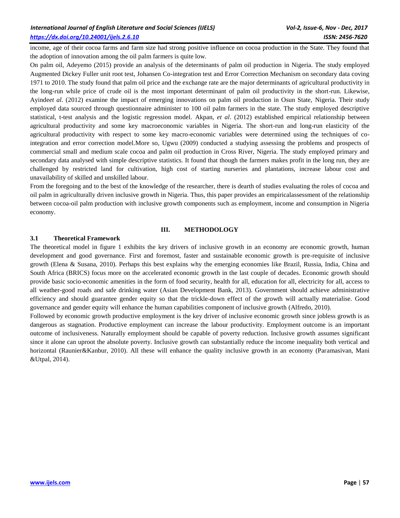income, age of their cocoa farms and farm size had strong positive influence on cocoa production in the State. They found that the adoption of innovation among the oil palm farmers is quite low.

On palm oil, Adeyemo (2015) provide an analysis of the determinants of palm oil production in Nigeria. The study employed Augmented Dickey Fuller unit root test, Johansen Co-integration test and Error Correction Mechanism on secondary data coving 1971 to 2010. The study found that palm oil price and the exchange rate are the major determinants of agricultural productivity in the long-run while price of crude oil is the most important determinant of palm oil productivity in the short-run. Likewise, Ayinde*et al*. (2012) examine the impact of emerging innovations on palm oil production in Osun State, Nigeria. Their study employed data sourced through questionnaire administer to 100 oil palm farmers in the state. The study employed descriptive statistical, t-test analysis and the logistic regression model. Akpan, *et al*. (2012) established empirical relationship between agricultural productivity and some key macroeconomic variables in Nigeria. The short-run and long-run elasticity of the agricultural productivity with respect to some key macro-economic variables were determined using the techniques of cointegration and error correction model.More so, Ugwu (2009) conducted a studying assessing the problems and prospects of commercial small and medium scale cocoa and palm oil production in Cross River, Nigeria. The study employed primary and secondary data analysed with simple descriptive statistics. It found that though the farmers makes profit in the long run, they are challenged by restricted land for cultivation, high cost of starting nurseries and plantations, increase labour cost and unavailability of skilled and unskilled labour.

From the foregoing and to the best of the knowledge of the researcher, there is dearth of studies evaluating the roles of cocoa and oil palm in agriculturally driven inclusive growth in Nigeria. Thus, this paper provides an empiricalassessment of the relationship between cocoa-oil palm production with inclusive growth components such as employment, income and consumption in Nigeria economy.

#### **III. METHODOLOGY**

#### **3.1 Theoretical Framework**

The theoretical model in figure 1 exhibits the key drivers of inclusive growth in an economy are economic growth, human development and good governance. First and foremost, faster and sustainable economic growth is pre-requisite of inclusive growth (Elena & Susana, 2010). Perhaps this best explains why the emerging economies like Brazil, Russia, India, China and South Africa (BRICS) focus more on the accelerated economic growth in the last couple of decades. Economic growth should provide basic socio-economic amenities in the form of food security, health for all, education for all, electricity for all, access to all weather-good roads and safe drinking water (Asian Development Bank, 2013). Government should achieve administrative efficiency and should guarantee gender equity so that the trickle-down effect of the growth will actually materialise. Good governance and gender equity will enhance the human capabilities component of inclusive growth (Alfredo, 2010).

Followed by economic growth productive employment is the key driver of inclusive economic growth since jobless growth is as dangerous as stagnation. Productive employment can increase the labour productivity. Employment outcome is an important outcome of inclusiveness. Naturally employment should be capable of poverty reduction. Inclusive growth assumes significant since it alone can uproot the absolute poverty. Inclusive growth can substantially reduce the income inequality both vertical and horizontal (Raunier&Kanbur, 2010). All these will enhance the quality inclusive growth in an economy (Paramasivan, Mani &Utpal, 2014).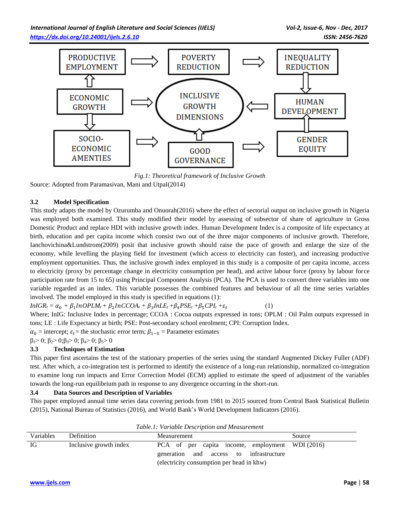

*Fig.1: Theoretical framework of Inclusive Growth*

Source: Adopted from Paramasivan, Mani and Utpal(2014)

#### **3.2 Model Specification**

This study adapts the model by Ozurumba and Onuorah(2016) where the effect of sectorial output on inclusive growth in Nigeria was employed both examined. This study modified their model by assessing of subsector of share of agriculture in Gross Domestic Product and replace HDI with inclusive growth index. Human Development Index is a composite of life expectancy at birth, education and per capita income which consist two out of the three major components of inclusive growth. Therefore, Ianchovichina&Lundstrom(2009) posit that inclusive growth should raise the pace of growth and enlarge the size of the economy, while levelling the playing field for investment (which access to electricity can foster), and increasing productive employment opportunities. Thus, the inclusive growth index employed in this study is a composite of per capita income, access to electricity (proxy by percentage change in electricity consumption per head), and active labour force (proxy by labour force participation rate from 15 to 65) using Principal Component Analysis (PCA). The PCA is used to convert three variables into one variable regarded as an index. This variable possesses the combined features and behaviour of all the time series variables involved. The model employed in this study is specified in equations (1):

 $InIGR_t = \alpha_0 + \beta_1 InOPLM_t + \beta_2 InCCOA_t + \beta_3 InLE_t + \beta_4 PSE_t + \beta_5 CPI_t + \varepsilon_t$ (1)

Where; InIG: Inclusive Index in percentage; CCOA : Cocoa outputs expressed in tons; OPLM : Oil Palm outputs expressed in tons; LE : Life Expectancy at birth; PSE: Post-secondary school enrolment; CPI: Corruption Index.

 $\alpha_0$  = intercept;  $\varepsilon_t$  = the stochastic error term;  $\beta_{1-5}$  = Parameter estimates

 $β<sub>1</sub> > 0; β<sub>2</sub> > 0; β<sub>3</sub> > 0; β<sub>4</sub> > 0; β<sub>5</sub> > 0$ 

### **3.3 Techniques of Estimation**

This paper first ascertains the test of the stationary properties of the series using the standard Augmented Dickey Fuller (ADF) test. After which, a co-integration test is performed to identify the existence of a long-run relationship, normalized co-integration to examine long run impacts and Error Correction Model (ECM) applied to estimate the speed of adjustment of the variables towards the long-run equilibrium path in response to any divergence occurring in the short-run.

#### **3.4 Data Sources and Description of Variables**

This paper employed annual time series data covering periods from 1981 to 2015 sourced from Central Bank Statistical Bulletin (2015), National Bureau of Statistics (2016), and World Bank's World Development Indicators (2016).

| Tword. The new result of the contraction of the contract of |                        |                                                                                                                                         |        |  |
|-------------------------------------------------------------|------------------------|-----------------------------------------------------------------------------------------------------------------------------------------|--------|--|
| Variables                                                   | Definition             | Measurement                                                                                                                             | Source |  |
| IG                                                          | Inclusive growth index | PCA of per capita income, employment WDI (2016)<br>generation and access to infrastructure<br>(electricity consumption per head in khw) |        |  |

*Table.1: Variable Description and Measurement*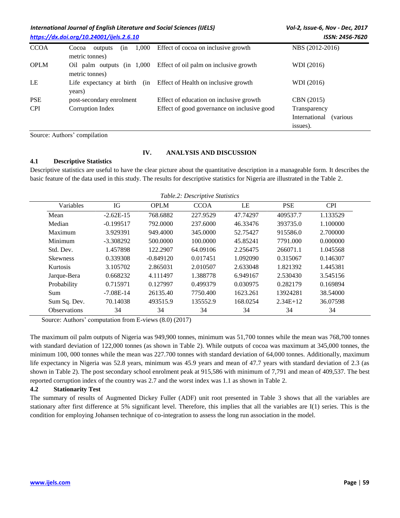*International Journal of English Literature and Social Sciences (IJELS) Vol-2, Issue-6, Nov - Dec, 2017*

| <b>CCOA</b> | 1,000<br>Cocoa<br>outputs<br>(in<br>metric tonnes) | Effect of cocoa on inclusive growth         | NBS (2012-2016)           |
|-------------|----------------------------------------------------|---------------------------------------------|---------------------------|
| <b>OPLM</b> | Oil palm outputs $(in 1,000)$<br>metric tonnes)    | Effect of oil palm on inclusive growth      | WDI (2016)                |
| LE          | Life expectancy at birth (in<br>years)             | Effect of Health on inclusive growth        | WDI (2016)                |
| <b>PSE</b>  | post-secondary enrolment                           | Effect of education on inclusive growth     | CBN (2015)                |
| <b>CPI</b>  | Corruption Index                                   | Effect of good governance on inclusive good | Transparency              |
|             |                                                    |                                             | International<br>(various |
|             |                                                    |                                             | issues).                  |

Source: Authors' compilation

#### **IV. ANALYSIS AND DISCUSSION**

#### **4.1 Descriptive Statistics**

Descriptive statistics are useful to have the clear picture about the quantitative description in a manageable form. It describes the basic feature of the data used in this study. The results for descriptive statistics for Nigeria are illustrated in the Table 2.

| Table.2: Descriptive Statistics |             |             |             |          |            |            |  |
|---------------------------------|-------------|-------------|-------------|----------|------------|------------|--|
| Variables                       | IG          | <b>OPLM</b> | <b>CCOA</b> | LE       | <b>PSE</b> | <b>CPI</b> |  |
| Mean                            | $-2.62E-15$ | 768.6882    | 227.9529    | 47.74297 | 409537.7   | 1.133529   |  |
| Median                          | $-0.199517$ | 792,0000    | 237.6000    | 46.33476 | 393735.0   | 1.100000   |  |
| Maximum                         | 3.929391    | 949.4000    | 345,0000    | 52.75427 | 915586.0   | 2.700000   |  |
| Minimum                         | $-3.308292$ | 500,0000    | 100,0000    | 45.85241 | 7791.000   | 0.000000   |  |
| Std. Dev.                       | 1.457898    | 122.2907    | 64.09106    | 2.256475 | 266071.1   | 1.045568   |  |
| <b>Skewness</b>                 | 0.339308    | $-0.849120$ | 0.017451    | 1.092090 | 0.315067   | 0.146307   |  |
| <b>Kurtosis</b>                 | 3.105702    | 2.865031    | 2.010507    | 2.633048 | 1.821392   | 1.445381   |  |
| Jarque-Bera                     | 0.668232    | 4.111497    | 1.388778    | 6.949167 | 2.530430   | 3.545156   |  |
| Probability                     | 0.715971    | 0.127997    | 0.499379    | 0.030975 | 0.282179   | 0.169894   |  |
| Sum                             | $-7.08E-14$ | 26135.40    | 7750.400    | 1623.261 | 13924281   | 38.54000   |  |
| Sum Sq. Dev.                    | 70.14038    | 493515.9    | 135552.9    | 168.0254 | $2.34E+12$ | 36.07598   |  |
| <b>Observations</b>             | 34          | 34          | 34          | 34       | 34         | 34         |  |

Source: Authors' computation from E-views (8.0) (2017)

The maximum oil palm outputs of Nigeria was 949,900 tonnes, minimum was 51,700 tonnes while the mean was 768,700 tonnes with standard deviation of 122,000 tonnes (as shown in Table 2). While outputs of cocoa was maximum at 345,000 tonnes, the minimum 100, 000 tonnes while the mean was 227.700 tonnes with standard deviation of 64,000 tonnes. Additionally, maximum life expectancy in Nigeria was 52.8 years, minimum was 45.9 years and mean of 47.7 years with standard deviation of 2.3 (as shown in Table 2). The post secondary school enrolment peak at 915,586 with minimum of 7,791 and mean of 409,537. The best reported corruption index of the country was 2.7 and the worst index was 1.1 as shown in Table 2.

#### **4.2 Stationarity Test**

The summary of results of Augmented Dickey Fuller (ADF) unit root presented in Table 3 shows that all the variables are stationary after first difference at 5% significant level. Therefore, this implies that all the variables are I(1) series. This is the condition for employing Johansen technique of co-integration to assess the long run association in the model.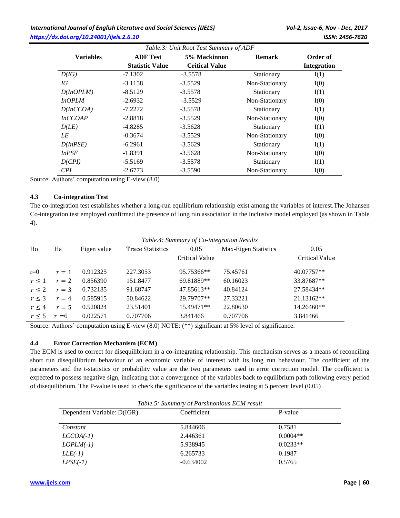#### *International Journal of English Literature and Social Sciences (IJELS) Vol-2, Issue-6, Nov - Dec, 2017 <https://dx.doi.org/10.24001/ijels.2.6.10>ISSN: 2456-7620*

| <b>Variables</b> | <b>ADF</b> Test        | 5% Mackinnon          | <b>Remark</b>  | Order of           |
|------------------|------------------------|-----------------------|----------------|--------------------|
|                  | <b>Statistic Value</b> | <b>Critical Value</b> |                | <b>Integration</b> |
| D(IG)            | $-7.1302$              | $-3.5578$             | Stationary     | I(1)               |
| IG               | $-3.1158$              | $-3.5529$             | Non-Stationary | I(0)               |
| D(InOPLM)        | $-8.5129$              | $-3.5578$             | Stationary     | I(1)               |
| InOPLM           | $-2.6932$              | $-3.5529$             | Non-Stationary | I(0)               |
| D(IncCOA)        | $-7.2272$              | $-3.5578$             | Stationary     | I(1)               |
| InCCOAP          | $-2.8818$              | $-3.5529$             | Non-Stationary | I(0)               |
| D(LE)            | $-4.8285$              | $-3.5628$             | Stationary     | I(1)               |
| LE               | $-0.3674$              | $-3.5529$             | Non-Stationary | I(0)               |
| D(InPSE)         | $-6.2961$              | $-3.5629$             | Stationary     | I(1)               |
| <i>InPSE</i>     | $-1.8391$              | $-3.5628$             | Non-Stationary | I(0)               |
| D(CPI)           | $-5.5169$              | $-3.5578$             | Stationary     | I(1)               |
| CPI              | $-2.6773$              | $-3.5590$             | Non-Stationary | I(0)               |

Source: Authors' computation using E-view (8.0)

#### **4.3 Co-integration Test**

The co-integration test establishes whether a long-run equilibrium relationship exist among the variables of interest.The Johansen Co-integration test employed confirmed the presence of long run association in the inclusive model employed (as shown in Table 4).

| Table.4: Summary of Co-integration Results |            |             |                         |                |                      |                |
|--------------------------------------------|------------|-------------|-------------------------|----------------|----------------------|----------------|
| Ho                                         | Ha         | Eigen value | <b>Trace Statistics</b> | 0.05           | Max-Eigen Statistics | 0.05           |
|                                            |            |             |                         | Critical Value |                      | Critical Value |
| $r=0$                                      | $r=1$      | 0.912325    | 227.3053                | 95.75366**     | 75.45761             | $40.07757**$   |
| r < 1                                      | $r=2$      | 0.856390    | 151.8477                | 69.81889**     | 60.16023             | 33.87687**     |
| r < 2                                      | $r=3$      | 0.732185    | 91.68747                | 47.85613**     | 40.84124             | 27.58434**     |
| r < 3                                      | $r=4$      | 0.585915    | 50.84622                | 29.79707**     | 27.33221             | 21.13162**     |
| r < 4                                      | $r=5$      | 0.520824    | 23.51401                | 15.49471**     | 22.80630             | 14.26460**     |
| r < 5                                      | $= 6$<br>r | 0.022571    | 0.707706                | 3.841466       | 0.707706             | 3.841466       |

Source: Authors' computation using E-view (8.0) NOTE: (\*\*) significant at 5% level of significance.

#### **4.4 Error Correction Mechanism (ECM)**

The ECM is used to correct for disequilibrium in a co-integrating relationship. This mechanism serves as a means of reconciling short run disequilibrium behaviour of an economic variable of interest with its long run behaviour. The coefficient of the parameters and the t-statistics or probability value are the two parameters used in error correction model. The coefficient is expected to possess negative sign, indicating that a convergence of the variables back to equilibrium path following every period of disequilibrium. The P-value is used to check the significance of the variables testing at 5 percent level (0.05)

| Table.5: Summary of Parsimonious ECM result |             |            |  |  |
|---------------------------------------------|-------------|------------|--|--|
| Dependent Variable: D(IGR)                  | Coefficient | P-value    |  |  |
|                                             |             |            |  |  |
| Constant                                    | 5.844606    | 0.7581     |  |  |
| $LCCOA(-1)$                                 | 2.446361    | $0.0004**$ |  |  |
| $LOPLM(-1)$                                 | 5.938945    | $0.0233**$ |  |  |
| $LLE(-1)$                                   | 6.265733    | 0.1987     |  |  |
| $LPSE(-1)$                                  | $-0.634002$ | 0.5765     |  |  |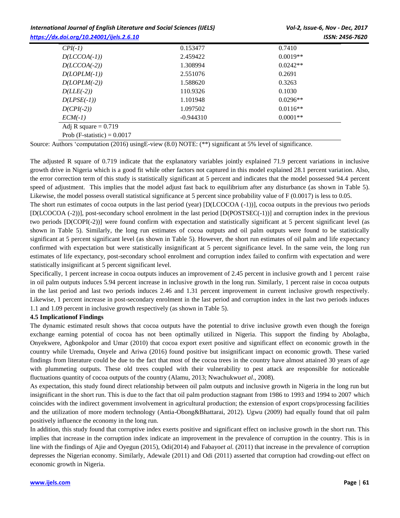## *International Journal of English Literature and Social Sciences (IJELS) Vol-2, Issue-6, Nov - Dec, 2017*

| https://dx.doi.org/10.24001/ijels.2.6.10 |             | <b>ISSN: 2456-7620</b> |
|------------------------------------------|-------------|------------------------|
| $CPI(-1)$                                | 0.153477    | 0.7410                 |
| $D(LCCOA(-1))$                           | 2.459422    | $0.0019**$             |
| $D(LCCOA(-2))$                           | 1.308994    | $0.0242**$             |
| $D (LOPLM(-1))$                          | 2.551076    | 0.2691                 |
| $D (LOPLM(-2))$                          | 1.588620    | 0.3263                 |
| $D(LLE(-2))$                             | 110.9326    | 0.1030                 |
| $D(LPSE(-1))$                            | 1.101948    | $0.0296**$             |
| $D(CPI(-2))$                             | 1.097502    | $0.0116**$             |
| $ECM(-1)$                                | $-0.944310$ | $0.0001**$             |
| Adj R square $= 0.719$                   |             |                        |
| Prob (F-statistic) = $0.0017$            |             |                        |

Source: Authors 'computation (2016) usingE-view (8.0) NOTE: (\*\*) significant at 5% level of significance.

The adjusted R square of 0.719 indicate that the explanatory variables jointly explained 71.9 percent variations in inclusive growth drive in Nigeria which is a good fit while other factors not captured in this model explained 28.1 percent variation. Also, the error correction term of this study is statistically significant at 5 percent and indicates that the model possessed 94.4 percent speed of adjustment. This implies that the model adjust fast back to equilibrium after any disturbance (as shown in Table 5). Likewise, the model possess overall statistical significance at 5 percent since probability value of F (0.0017) is less to 0.05.

The short run estimates of cocoa outputs in the last period (year) [D(LCOCOA (-1))], cocoa outputs in the previous two periods [D(LCOCOA (-2))], post-secondary school enrolment in the last period [D(POSTSEC(-1))] and corruption index in the previous two periods [D(COPI(-2))] were found confirm with expectation and statistically significant at 5 percent significant level (as shown in Table 5). Similarly, the long run estimates of cocoa outputs and oil palm outputs were found to be statistically significant at 5 percent significant level (as shown in Table 5). However, the short run estimates of oil palm and life expectancy confirmed with expectation but were statistically insignificant at 5 percent significance level. In the same vein, the long run estimates of life expectancy, post-secondary school enrolment and corruption index failed to confirm with expectation and were statistically insignificant at 5 percent significant level.

Specifically, 1 percent increase in cocoa outputs induces an improvement of 2.45 percent in inclusive growth and 1 percent raise in oil palm outputs induces 5.94 percent increase in inclusive growth in the long run. Similarly, 1 percent raise in cocoa outputs in the last period and last two periods induces 2.46 and 1.31 percent improvement in current inclusive growth respectively. Likewise, 1 percent increase in post-secondary enrolment in the last period and corruption index in the last two periods induces 1.1 and 1.09 percent in inclusive growth respectively (as shown in Table 5).

#### **4.5 Implicationof Findings**

The dynamic estimated result shows that cocoa outputs have the potential to drive inclusive growth even though the foreign exchange earning potential of cocoa has not been optimally utilized in Nigeria. This support the finding by Abolagba, Onyekwere, Agbonkpolor and Umar (2010) that cocoa export exert positive and significant effect on economic growth in the country while Uremadu, Onyele and Ariwa (2016) found positive but insignificant impact on economic growth. These varied findings from literature could be due to the fact that most of the cocoa trees in the country have almost attained 30 years of age with plummeting outputs. These old trees coupled with their vulnerability to pest attack are responsible for noticeable fluctuations quantity of cocoa outputs of the country (Alamu, 2013; Nwachukwu*et al*., 2008).

As expectation, this study found direct relationship between oil palm outputs and inclusive growth in Nigeria in the long run but insignificant in the short run. This is due to the fact that oil palm production stagnant from 1986 to 1993 and 1994 to 2007 which coincides with the indirect government involvement in agricultural production; the extension of export crops/processing facilities and the utilization of more modern technology (Antia-Obong&Bhattarai, 2012). Ugwu (2009) had equally found that oil palm positively influence the economy in the long run.

In addition, this study found that corruptive index exerts positive and significant effect on inclusive growth in the short run. This implies that increase in the corruption index indicate an improvement in the prevalence of corruption in the country. This is in line with the findings of Ajie and Oyegun (2015), Odi(2014) and Fabayo*et al.* (2011) that increase in the prevalence of corruption depresses the Nigerian economy. Similarly, Adewale (2011) and Odi (2011) asserted that corruption had crowding-out effect on economic growth in Nigeria.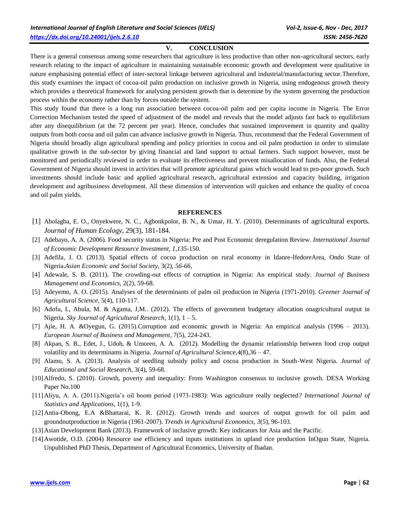#### **V. CONCLUSION**

There is a general consensus among some researchers that agriculture is less productive than other non-agricultural sectors, early research relating to the impact of agriculture in maintaining sustainable economic growth and development were qualitative in nature emphasising potential effect of inter-sectoral linkage between agricultural and industrial/manufacturing sector.Therefore, this study examines the impact of cocoa-oil palm production on inclusive growth in Nigeria, using endogenous growth theory which provides a theoretical framework for analysing persistent growth that is determine by the system governing the production process within the economy rather than by forces outside the system.

This study found that there is a long run association between cocoa-oil palm and per capita income in Nigeria. The Error Correction Mechanism tested the speed of adjustment of the model and reveals that the model adjusts fast back to equilibrium after any disequilibrium (at the 72 percent per year). Hence, concludes that sustained improvement in quantity and quality outputs from both cocoa and oil palm can advance inclusive growth in Nigeria. Thus, recommend that the Federal Government of Nigeria should broadly align agricultural spending and policy priorities in cocoa and oil palm production in order to stimulate qualitative growth in the sub-sector by giving financial and land support to actual farmers. Such support however, must be monitored and periodically reviewed in order to evaluate its effectiveness and prevent misallocation of funds. Also, the Federal Government of Nigeria should invest in activities that will promote agricultural gains which would lead to pro-poor growth. Such investments should include basic and applied agricultural research, agricultural extension and capacity building, irrigation development and agribusiness development. All these dimension of intervention will quicken and enhance the quality of cocoa and oil palm yields.

#### **REFERENCES**

- [1] Abolagba, E. O., Onyekwere, N. C., Agbonkpolor, B. N., & Umar, H. Y. (2010). Determinants of agricultural exports. *Journal of Human Ecology,* 29(3), 181-184.
- [2] Adebayo, A. A. (2006). Food security status in Nigeria: Pre and Post Economic deregulation Review. *International Journal of Economic Development Resource Investment*, *1,135-*150.
- [3] Adefila, J. O. (2013). Spatial effects of cocoa production on rural economy in Idanre-IfedoreArea, Ondo State of Nigeria.*Asian Economic and Social Society*, 3(2), *56-66,*
- [4] Adewale, S. B. (2011). The crowding-out effects of corruption in Nigeria: An empirical study. *Journal of Business Management and Economics,* 2(2), 59-68.
- [5] Adeyemo, A. O. (2015). Analyses of the determinants of palm oil production in Nigeria (1971-2010). *Greener Journal of Agricultural Science*, 5(4), 110-117.
- [6] Adofu, I., Abula, M. & Agama, J,M.. (2012). The effects of government budgetary allocation onagricultural output in Nigeria. *Sky Journal of Agricultural Research*, 1(1), 1 – 5.
- [7] Ajie, H. A. &Oyegun, G. (2015).Corruption and economic growth in Nigeria: An empirical analysis (1996 2013). *European Journal of Business and Management*, 7(5), 224-243.
- [8] Akpan, S. B., Edet, J., Udoh, & Umoren, A. A. (2012). Modelling the dynamic relationship between food crop output volatility and its determinants in Nigeria. *Journal of Agricultural Science,*4(8),36 – 47.
- [9] Alamu, S. A. (2013). Analysis of seedling subsidy policy and cocoa production in South-West Nigeria. *Journal of Educational and Social Research*, 3(4), 59-68.
- [10]Alfredo, S. (2010). Growth, poverty and inequality: From Washington consensus to inclusive growth. DESA Working Paper No.100
- [11]Aliyu, A. A. (2011).Nigeria's oil boom period (1973-1983): Was agriculture really neglected*? International Journal of Statistics and Applications*, 1(1), 1-9.
- [12]Antia-Obong, E.A &Bhattarai, K. R. (2012). Growth trends and sources of output growth for oil palm and groundnutproduction in Nigeria (1961-2007). *Trends in Agricultural Economics, 3*(5), 96-103.
- [13]Asian Development Bank (2013). Framework of inclusive growth: Key indicators for Asia and the Pacific.
- [14]Awotide, O.D. (2004) Resource use efficiency and inputs institutions in upland rice production InOgun State, Nigeria. Unpublished PhD Thesis, Department of Agricultural Economics, University of Ibadan.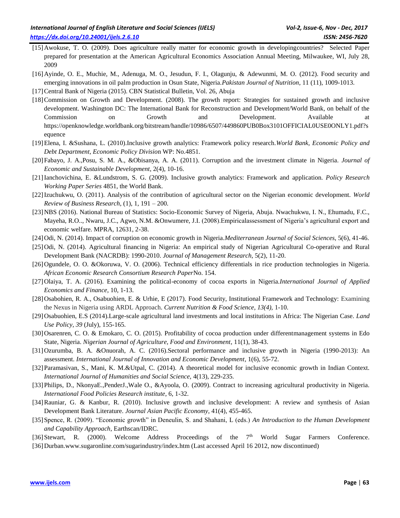- [15]Awokuse, T. O. (2009). Does agriculture really matter for economic growth in developingcountries? Selected Paper prepared for presentation at the American Agricultural Economics Association Annual Meeting, Milwaukee, WI, July 28, 2009
- [16]Ayinde, O. E., Muchie, M., Adenuga, M. O., Jesudun, F. I., Olagunju, & Adewunmi, M. O. (2012). Food security and emerging innovations in oil palm production in Osun State, Nigeria.*Pakistan Journal of Nutrition*, 11 (11), 1009-1013.
- [17]Central Bank of Nigeria (2015). CBN Statistical Bulletin, Vol. 26, Abuja
- [18]Commission on Growth and Development. (2008). The growth report: Strategies for sustained growth and inclusive development. Washington DC: The International Bank for Reconstruction and Development/World Bank, on behalf of the Commission on Growth and Development. Available at https://openknowledge.worldbank.org/bitstream/handle/10986/6507/449860PUB0Box3101OFFICIAL0USE0ONLY1.pdf?s equence
- [19]Elena, I. &Sushana, L. (2010).Inclusive growth analytics: Framework policy research.*World Bank, Economic Policy and Debt Department, Economic Policy Divisio*n WP: No.4851.
- [20]Fabayo, J. A.,Posu, S. M. A., &Obisanya, A. A. (2011). Corruption and the investment climate in Nigeria. *Journal of Economic and Sustainable Development*, 2(4), 10-16.
- [21]Ianchovichina, E. &Lundstrom, S. G. (2009). Inclusive growth analytics: Framework and application. *Policy Research Working Paper Series* 4851, the World Bank.
- [22]Izuchukwu, O. (2011). Analysis of the contribution of agricultural sector on the Nigerian economic development. *World Review of Business Research*, (1), 1, 191 – 200.
- [23]NBS (2016). National Bureau of Statistics: Socio-Economic Survey of Nigeria, Abuja. Nwachukwu, I. N., Ehumadu, F.C., Mayeha, R.O.., Nwaru, J.C., Agwo, N.M. &Onwumere, J.I. (2008).Empiricalassessment of Nigeria's agricultural export and economic welfare. MPRA, 12631, 2-38.
- [24]Odi, N. (2014). Impact of corruption on economic growth in Nigeria.*Mediterranean Journal of Social Sciences,* 5(6), 41-46.
- [25]Odi, N. (2014). Agricultural financing in Nigeria: An empirical study of Nigerian Agricultural Co-operative and Rural Development Bank (NACRDB): 1990-2010. *Journal of Management Research,* 5(2), 11-20.
- [26]Ogundele, O. O. &Okoruwa, V. O. (2006). Technical efficiency differentials in rice production technologies in Nigeria. *African Economic Research Consortium Research Paper*No. 154.
- [27]Olaiya, T. A. (2016). Examining the political-economy of cocoa exports in Nigeria.*International Journal of Applied Economics and Finance*, 10, 1-13.
- [28]Osabohien, R. A., Osabuohien, E. & Urhie, E (2017). Food Security, Institutional Framework and Technology: Examining the Nexus in Nigeria using ARDL Approach. *Current Nutrition & Food Science, 13(4),* 1-10.
- [29]Osabuohien, E.S (2014).Large-scale agricultural land investments and local institutions in Africa: The Nigerian Case. *Land Use Policy*, *39* (July), 155-165.
- [30]Osarenren, C. O. & Emokaro, C. O. (2015). Profitability of cocoa production under differentmanagement systems in Edo State, Nigeria. *Nigerian Journal of Agriculture, Food and Environment*, 11(1), 38-43.
- [31]Ozurumba, B. A. &Onuorah, A. C. (2016).Sectoral performance and inclusive growth in Nigeria (1990-2013): An assessment. *International Journal of Innovation and Economic Development,* 1(6), 55-72.
- [32]Paramasivan, S., Mani, K. M.&Utpal, C. (2014). A theoretical model for inclusive economic growth in Indian Context. *International Journal of Humanities and Social Science,* 4(13), 229-235.
- [33]Philips, D., NkonyaE.,PenderJ.,Wale O., &Ayoola, O. (2009). Contract to increasing agricultural productivity in Nigeria. *International Food Policies Research institute*, 6, 1-32.
- [34]Rauniar, G. & Kanbur, R. (2010). Inclusive growth and inclusive development: A review and synthesis of Asian Development Bank Literature. *Journal Asian Pacific Economy*, 41(4), 455-465.
- [35]Spence, R. (2009). "Economic growth" in Deneulin, S. and Shahani, L (eds.) *An Introduction to the Human Development and Capability Approach*, Earthscan/IDRC.

[36] Stewart, R. (2000). Welcome Address Proceedings of the 7<sup>th</sup> World Sugar Farmers Conference. [36]Durban.www.sugaronline.com/sugarindustry/index.htm (Last accessed April 16 2012, now discontinued)